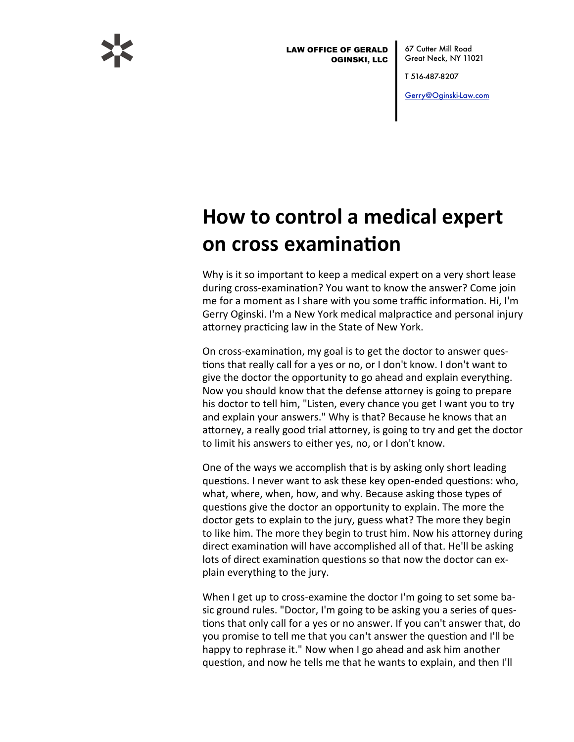

**LAW OFFICE OF GERALD OGINSKI, LLC**  67 Cutter Mill Road Great Neck, NY 11021

T 516 487-8207

Gerry@Oginski-Law.com

## How to control a medical expert on cross examination

Why is it so important to keep a medical expert on a very short lease during cross-examination? You want to know the answer? Come join me for a moment as I share with you some traffic information. Hi, I'm Gerry Oginski. I'm a New York medical malpractice and personal injury attorney practicing law in the State of New York.

On cross-examination, my goal is to get the doctor to answer questions that really call for a yes or no, or I don't know. I don't want to give the doctor the opportunity to go ahead and explain everything. Now you should know that the defense attorney is going to prepare his doctor to tell him, "Listen, every chance you get I want you to try and explain your answers." Why is that? Because he knows that an attorney, a really good trial attorney, is going to try and get the doctor to limit his answers to either yes, no, or I don't know.

One of the ways we accomplish that is by asking only short leading questions. I never want to ask these key open-ended questions: who, what, where, when, how, and why. Because asking those types of questions give the doctor an opportunity to explain. The more the doctor gets to explain to the jury, guess what? The more they begin to like him. The more they begin to trust him. Now his attorney during direct examination will have accomplished all of that. He'll be asking lots of direct examination questions so that now the doctor can explain everything to the jury.

When I get up to cross-examine the doctor I'm going to set some basic ground rules. "Doctor, I'm going to be asking you a series of questions that only call for a yes or no answer. If you can't answer that, do you promise to tell me that you can't answer the question and I'll be happy to rephrase it." Now when I go ahead and ask him another question, and now he tells me that he wants to explain, and then I'll